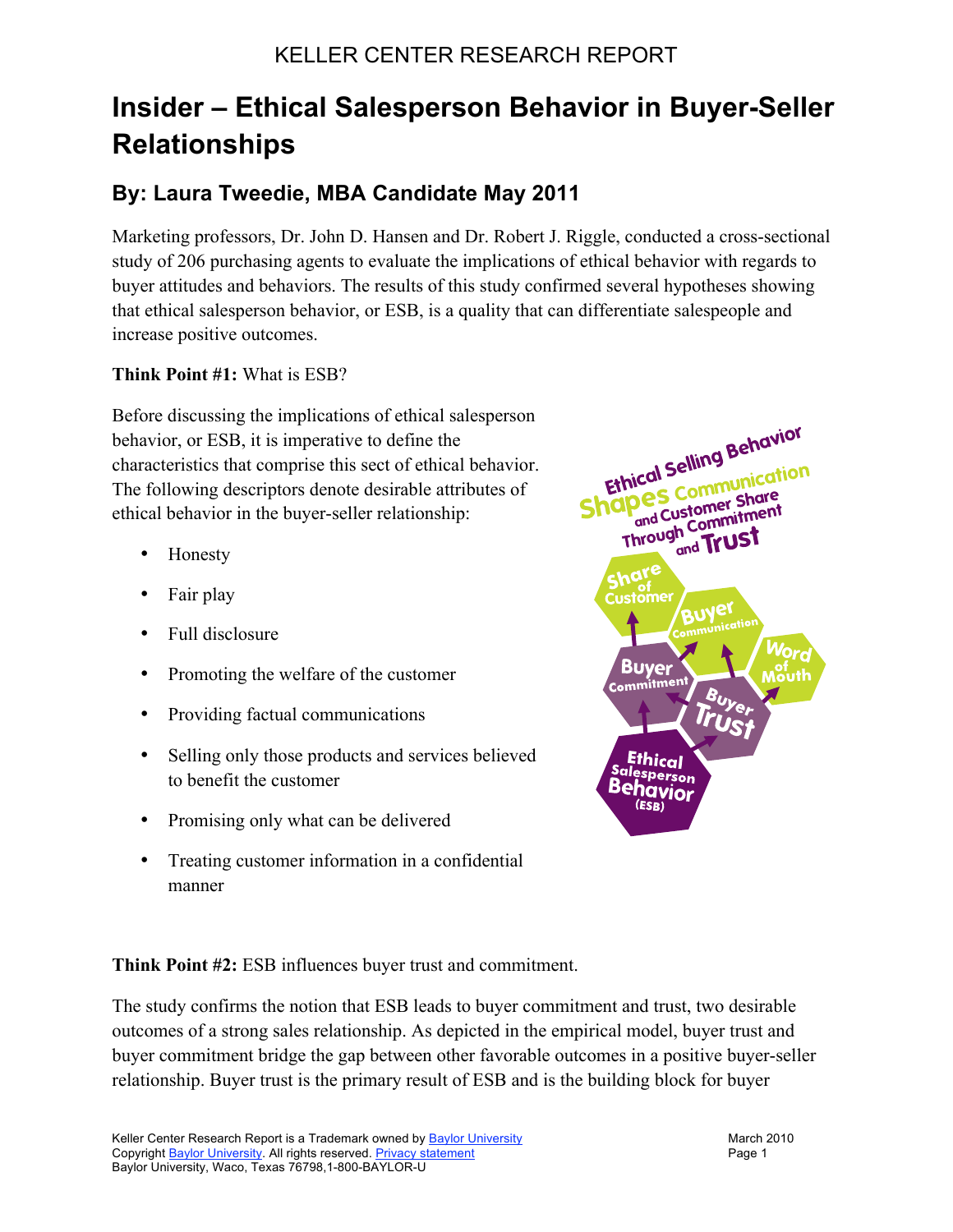## KELLER CENTER RESEARCH REPORT

# **Insider – Ethical Salesperson Behavior in Buyer-Seller Relationships**

## **By: Laura Tweedie, MBA Candidate May 2011**

Marketing professors, Dr. John D. Hansen and Dr. Robert J. Riggle, conducted a cross-sectional study of 206 purchasing agents to evaluate the implications of ethical behavior with regards to buyer attitudes and behaviors. The results of this study confirmed several hypotheses showing that ethical salesperson behavior, or ESB, is a quality that can differentiate salespeople and increase positive outcomes.

#### **Think Point #1:** What is ESB?

Before discussing the implications of ethical salesperson behavior, or ESB, it is imperative to define the characteristics that comprise this sect of ethical behavior. The following descriptors denote desirable attributes of ethical behavior in the buyer-seller relationship:

- Honesty
- Fair play
- Full disclosure
- Promoting the welfare of the customer
- Providing factual communications
- Selling only those products and services believed to benefit the customer
- Promising only what can be delivered
- Treating customer information in a confidential manner



**Think Point #2:** ESB influences buyer trust and commitment.

The study confirms the notion that ESB leads to buyer commitment and trust, two desirable outcomes of a strong sales relationship. As depicted in the empirical model, buyer trust and buyer commitment bridge the gap between other favorable outcomes in a positive buyer-seller relationship. Buyer trust is the primary result of ESB and is the building block for buyer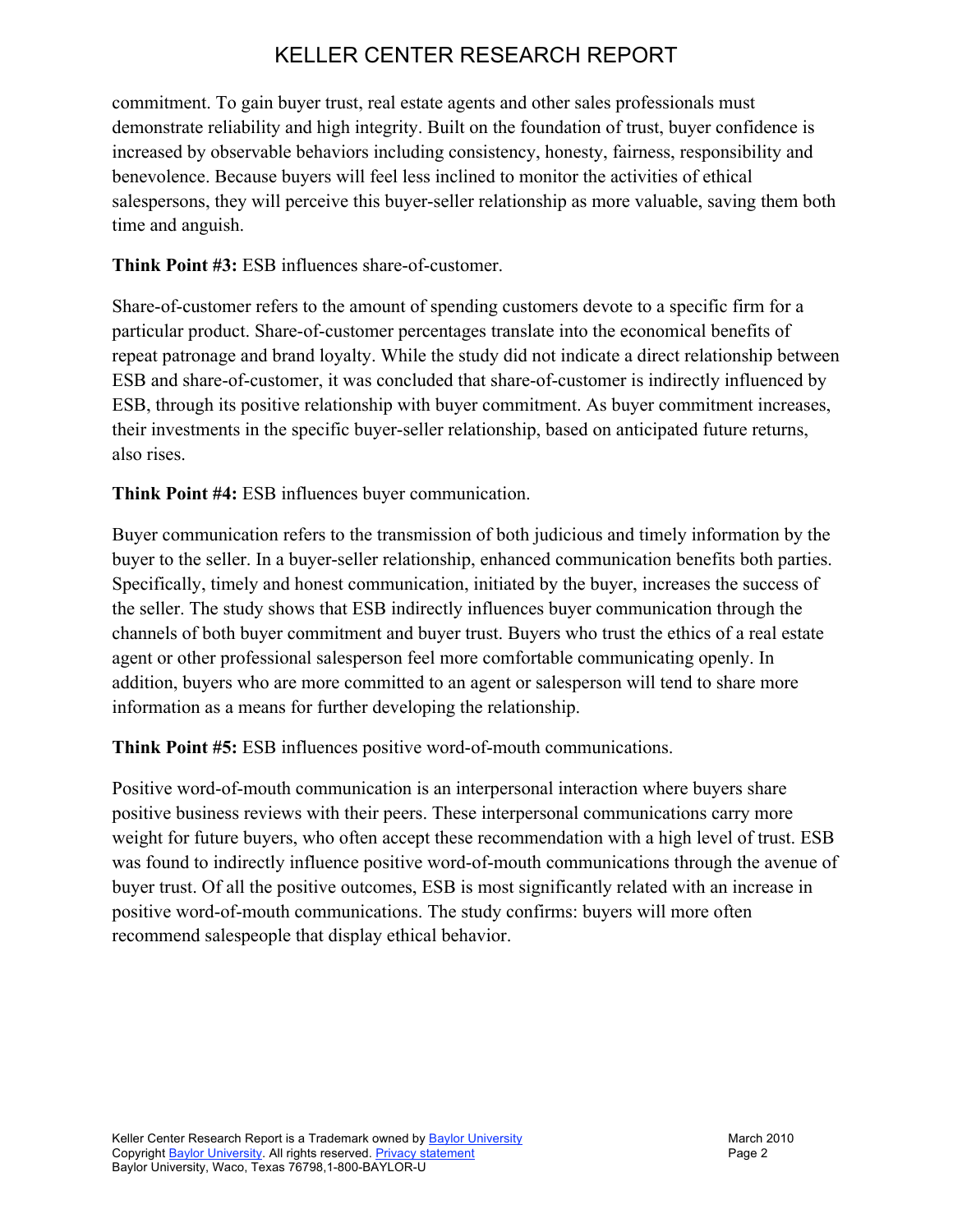# KELLER CENTER RESEARCH REPORT

commitment. To gain buyer trust, real estate agents and other sales professionals must demonstrate reliability and high integrity. Built on the foundation of trust, buyer confidence is increased by observable behaviors including consistency, honesty, fairness, responsibility and benevolence. Because buyers will feel less inclined to monitor the activities of ethical salespersons, they will perceive this buyer-seller relationship as more valuable, saving them both time and anguish.

### **Think Point #3:** ESB influences share-of-customer.

Share-of-customer refers to the amount of spending customers devote to a specific firm for a particular product. Share-of-customer percentages translate into the economical benefits of repeat patronage and brand loyalty. While the study did not indicate a direct relationship between ESB and share-of-customer, it was concluded that share-of-customer is indirectly influenced by ESB, through its positive relationship with buyer commitment. As buyer commitment increases, their investments in the specific buyer-seller relationship, based on anticipated future returns, also rises.

**Think Point #4:** ESB influences buyer communication.

Buyer communication refers to the transmission of both judicious and timely information by the buyer to the seller. In a buyer-seller relationship, enhanced communication benefits both parties. Specifically, timely and honest communication, initiated by the buyer, increases the success of the seller. The study shows that ESB indirectly influences buyer communication through the channels of both buyer commitment and buyer trust. Buyers who trust the ethics of a real estate agent or other professional salesperson feel more comfortable communicating openly. In addition, buyers who are more committed to an agent or salesperson will tend to share more information as a means for further developing the relationship.

**Think Point #5:** ESB influences positive word-of-mouth communications.

Positive word-of-mouth communication is an interpersonal interaction where buyers share positive business reviews with their peers. These interpersonal communications carry more weight for future buyers, who often accept these recommendation with a high level of trust. ESB was found to indirectly influence positive word-of-mouth communications through the avenue of buyer trust. Of all the positive outcomes, ESB is most significantly related with an increase in positive word-of-mouth communications. The study confirms: buyers will more often recommend salespeople that display ethical behavior.